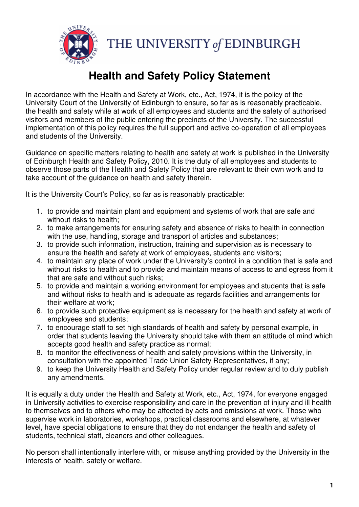

## Health and Safety Policy Statement

In accordance with the Health and Safety at Work, etc., Act, 1974, it is the policy of the University Court of the University of Edinburgh to ensure, so far as is reasonably practicable, the health and safety while at work of all employees and students and the safety of authorised visitors and members of the public entering the precincts of the University. The successful implementation of this policy requires the full support and active co-operation of all employees and students of the University.

Guidance on specific matters relating to health and safety at work is published in the University of Edinburgh Health and Safety Policy, 2010. It is the duty of all employees and students to observe those parts of the Health and Safety Policy that are relevant to their own work and to take account of the guidance on health and safety therein.

It is the University Court's Policy, so far as is reasonably practicable:

- 1. to provide and maintain plant and equipment and systems of work that are safe and without risks to health;
- 2. to make arrangements for ensuring safety and absence of risks to health in connection with the use, handling, storage and transport of articles and substances;
- 3. to provide such information, instruction, training and supervision as is necessary to ensure the health and safety at work of employees, students and visitors;
- 4. to maintain any place of work under the University's control in a condition that is safe and without risks to health and to provide and maintain means of access to and egress from it that are safe and without such risks;
- 5. to provide and maintain a working environment for employees and students that is safe and without risks to health and is adequate as regards facilities and arrangements for their welfare at work;
- 6. to provide such protective equipment as is necessary for the health and safety at work of employees and students;
- 7. to encourage staff to set high standards of health and safety by personal example, in order that students leaving the University should take with them an attitude of mind which accepts good health and safety practice as normal;
- 8. to monitor the effectiveness of health and safety provisions within the University, in consultation with the appointed Trade Union Safety Representatives, if any;
- 9. to keep the University Health and Safety Policy under regular review and to duly publish any amendments.

It is equally a duty under the Health and Safety at Work, etc., Act, 1974, for everyone engaged in University activities to exercise responsibility and care in the prevention of injury and ill health to themselves and to others who may be affected by acts and omissions at work. Those who supervise work in laboratories, workshops, practical classrooms and elsewhere, at whatever level, have special obligations to ensure that they do not endanger the health and safety of students, technical staff, cleaners and other colleagues.

No person shall intentionally interfere with, or misuse anything provided by the University in the interests of health, safety or welfare.